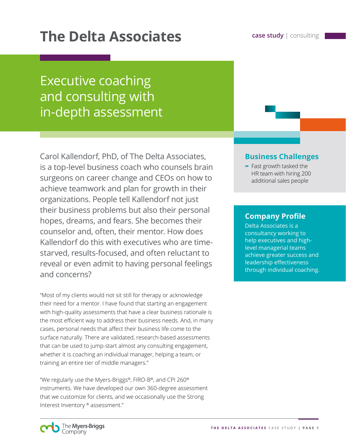# **The Delta Associates case study consulting**

## Executive coaching and consulting with in-depth assessment

Carol Kallendorf, PhD, of The Delta Associates, is a top-level business coach who counsels brain surgeons on career change and CEOs on how to achieve teamwork and plan for growth in their organizations. People tell Kallendorf not just their business problems but also their personal hopes, dreams, and fears. She becomes their counselor and, often, their mentor. How does Kallendorf do this with executives who are timestarved, results-focused, and often reluctant to reveal or even admit to having personal feelings and concerns?

"Most of my clients would not sit still for therapy or acknowledge their need for a mentor. I have found that starting an engagement with high-quality assessments that have a clear business rationale is the most efficient way to address their business needs. And, in many cases, personal needs that affect their business life come to the surface naturally. There are validated, research-based assessments that can be used to jump-start almost any consulting engagement, whether it is coaching an individual manager, helping a team, or training an entire tier of middle managers."

"We regularly use the Myers-Briggs®, FIRO-B®, and CPI 260® instruments. We have developed our own 360-degree assessment that we customize for clients, and we occasionally use the Strong Interest Inventory ® assessment."

#### **Business Challenges**

**-** Fast growth tasked the HR team with hiring 200 additional sales people

#### **Company Profile**

Delta Associates is a consultancy working to help executives and highlevel managerial teams achieve greater success and leadership effectiveness through individual coaching.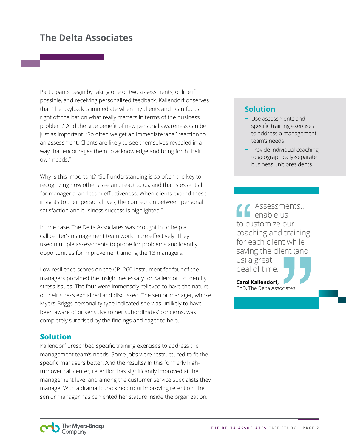### **The Delta Associates**

Participants begin by taking one or two assessments, online if possible, and receiving personalized feedback. Kallendorf observes that "the payback is immediate when my clients and I can focus right off the bat on what really matters in terms of the business problem." And the side benefit of new personal awareness can be just as important. "So often we get an immediate 'aha!' reaction to an assessment. Clients are likely to see themselves revealed in a way that encourages them to acknowledge and bring forth their own needs."

Why is this important? "Self-understanding is so often the key to recognizing how others see and react to us, and that is essential for managerial and team effectiveness. When clients extend these insights to their personal lives, the connection between personal satisfaction and business success is highlighted."

In one case, The Delta Associates was brought in to help a call center's management team work more effectively. They used multiple assessments to probe for problems and identify opportunities for improvement among the 13 managers.

Low resilience scores on the CPI 260 instrument for four of the managers provided the insight necessary for Kallendorf to identify stress issues. The four were immensely relieved to have the nature of their stress explained and discussed. The senior manager, whose Myers-Briggs personality type indicated she was unlikely to have been aware of or sensitive to her subordinates' concerns, was completely surprised by the findings and eager to help.

#### **Solution**

Kallendorf prescribed specific training exercises to address the management team's needs. Some jobs were restructured to fit the specific managers better. And the results? In this formerly highturnover call center, retention has significantly improved at the management level and among the customer service specialists they manage. With a dramatic track record of improving retention, the senior manager has cemented her stature inside the organization.

#### **Solution**

- **-** Use assessments and specific training exercises to address a management team's needs
- **-** Provide individual coaching to geographically-separate business unit presidents

Assessments… enable us to customize our coaching and training for each client while saving the client (and us) a great deal of time.

**Carol Kallendorf,**  PhD, The Delta Associates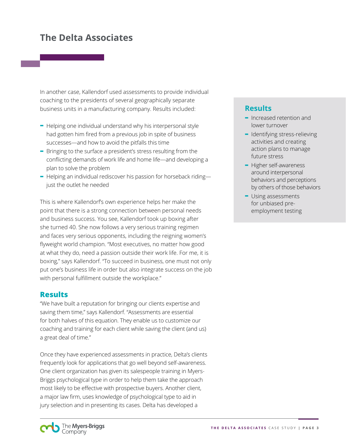## **The Delta Associates**

In another case, Kallendorf used assessments to provide individual coaching to the presidents of several geographically separate business units in a manufacturing company. Results included:

- **-** Helping one individual understand why his interpersonal style had gotten him fired from a previous job in spite of business successes—and how to avoid the pitfalls this time
- **-** Bringing to the surface a president's stress resulting from the conflicting demands of work life and home life—and developing a plan to solve the problem
- **-** Helping an individual rediscover his passion for horseback riding just the outlet he needed

This is where Kallendorf's own experience helps her make the point that there is a strong connection between personal needs and business success. You see, Kallendorf took up boxing after she turned 40. She now follows a very serious training regimen and faces very serious opponents, including the reigning women's flyweight world champion. "Most executives, no matter how good at what they do, need a passion outside their work life. For me, it is boxing," says Kallendorf. "To succeed in business, one must not only put one's business life in order but also integrate success on the job with personal fulfillment outside the workplace."

#### **Results**

"We have built a reputation for bringing our clients expertise and saving them time," says Kallendorf. "Assessments are essential for both halves of this equation. They enable us to customize our coaching and training for each client while saving the client (and us) a great deal of time."

Once they have experienced assessments in practice, Delta's clients frequently look for applications that go well beyond self-awareness. One client organization has given its salespeople training in Myers-Briggs psychological type in order to help them take the approach most likely to be effective with prospective buyers. Another client, a major law firm, uses knowledge of psychological type to aid in jury selection and in presenting its cases. Delta has developed a

#### **Results**

- **-** Increased retention and lower turnover
- **-** Identifying stress-relieving activities and creating action plans to manage future stress
- **-** Higher self-awareness around interpersonal behaviors and perceptions by others of those behaviors
- **-** Using assessments for unbiased preemployment testing

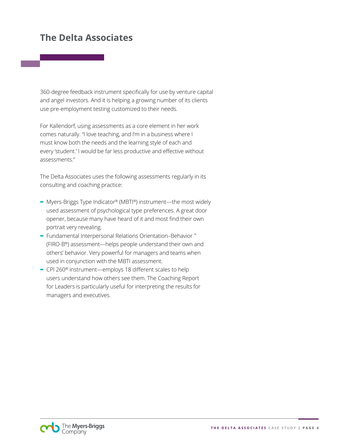## **The Delta Associates**

360-degree feedback instrument specifically for use by venture capital and angel investors. And it is helping a growing number of its clients use pre-employment testing customized to their needs.

For Kallendorf, using assessments as a core element in her work comes naturally. "I love teaching, and I'm in a business where I must know both the needs and the learning style of each and every 'student.' I would be far less productive and effective without assessments."

The Delta Associates uses the following assessments regularly in its consulting and coaching practice:

- **-** Myers-Briggs Type Indicator® (MBTI®) instrument—the most widely used assessment of psychological type preferences. A great door opener, because many have heard of it and most find their own portrait very revealing.
- **-** Fundamental Interpersonal Relations Orientation–Behavior ™ (FIRO-B®) assessment—helps people understand their own and others' behavior. Very powerful for managers and teams when used in conjunction with the MBTI assessment.
- **-** CPI 260® instrument—employs 18 different scales to help users understand how others see them. The Coaching Report for Leaders is particularly useful for interpreting the results for managers and executives.